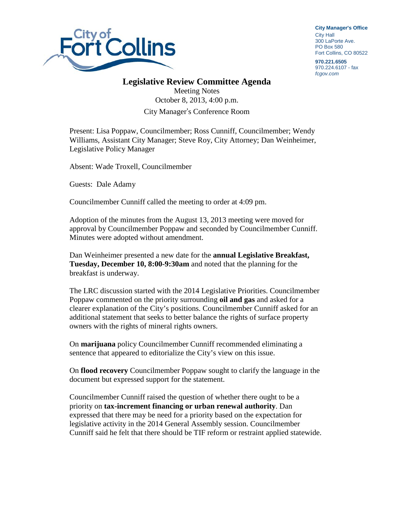

**City Manager**'**s Office** City Hall 300 LaPorte Ave. PO Box 580 Fort Collins, CO 80522

**970.221.6505** 970.224.6107 - fax *fcgov.com*

## **Legislative Review Committee Agenda**

Meeting Notes October 8, 2013, 4:00 p.m. City Manager's Conference Room

Present: Lisa Poppaw, Councilmember; Ross Cunniff, Councilmember; Wendy Williams, Assistant City Manager; Steve Roy, City Attorney; Dan Weinheimer, Legislative Policy Manager

Absent: Wade Troxell, Councilmember

Guests: Dale Adamy

Councilmember Cunniff called the meeting to order at 4:09 pm.

Adoption of the minutes from the August 13, 2013 meeting were moved for approval by Councilmember Poppaw and seconded by Councilmember Cunniff. Minutes were adopted without amendment.

Dan Weinheimer presented a new date for the **annual Legislative Breakfast, Tuesday, December 10, 8:00-9:30am** and noted that the planning for the breakfast is underway.

The LRC discussion started with the 2014 Legislative Priorities. Councilmember Poppaw commented on the priority surrounding **oil and gas** and asked for a clearer explanation of the City's positions. Councilmember Cunniff asked for an additional statement that seeks to better balance the rights of surface property owners with the rights of mineral rights owners.

On **marijuana** policy Councilmember Cunniff recommended eliminating a sentence that appeared to editorialize the City's view on this issue.

On **flood recovery** Councilmember Poppaw sought to clarify the language in the document but expressed support for the statement.

Councilmember Cunniff raised the question of whether there ought to be a priority on **tax-increment financing or urban renewal authority**. Dan expressed that there may be need for a priority based on the expectation for legislative activity in the 2014 General Assembly session. Councilmember Cunniff said he felt that there should be TIF reform or restraint applied statewide.